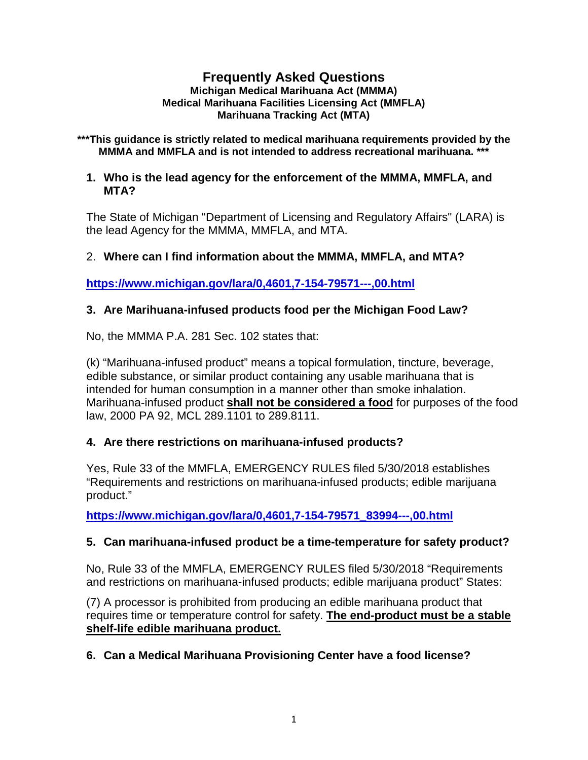#### **Frequently Asked Questions Michigan Medical Marihuana Act (MMMA) Medical Marihuana Facilities Licensing Act (MMFLA) Marihuana Tracking Act (MTA)**

**\*\*\*This guidance is strictly related to medical marihuana requirements provided by the MMMA and MMFLA and is not intended to address recreational marihuana. \*\*\***

#### **1. Who is the lead agency for the enforcement of the MMMA, MMFLA, and MTA?**

The State of Michigan "Department of Licensing and Regulatory Affairs" (LARA) is the lead Agency for the MMMA, MMFLA, and MTA.

## 2. **Where can I find information about the MMMA, MMFLA, and MTA?**

**<https://www.michigan.gov/lara/0,4601,7-154-79571---,00.html>**

## **3. Are Marihuana-infused products food per the Michigan Food Law?**

No, the MMMA P.A. 281 Sec. 102 states that:

(k) "Marihuana-infused product" means a topical formulation, tincture, beverage, edible substance, or similar product containing any usable marihuana that is intended for human consumption in a manner other than smoke inhalation. Marihuana-infused product **shall not be considered a food** for purposes of the food law, 2000 PA 92, MCL 289.1101 to 289.8111.

### **4. Are there restrictions on marihuana-infused products?**

Yes, Rule 33 of the MMFLA, EMERGENCY RULES filed 5/30/2018 establishes "Requirements and restrictions on marihuana-infused products; edible marijuana product."

**[https://www.michigan.gov/lara/0,4601,7-154-79571\\_83994---,00.html](https://www.michigan.gov/lara/0,4601,7-154-79571_83994---,00.html)**

# **5. Can marihuana-infused product be a time-temperature for safety product?**

No, Rule 33 of the MMFLA, EMERGENCY RULES filed 5/30/2018 "Requirements and restrictions on marihuana-infused products; edible marijuana product" States:

(7) A processor is prohibited from producing an edible marihuana product that requires time or temperature control for safety. **The end-product must be a stable shelf-life edible marihuana product.**

**6. Can a Medical Marihuana Provisioning Center have a food license?**